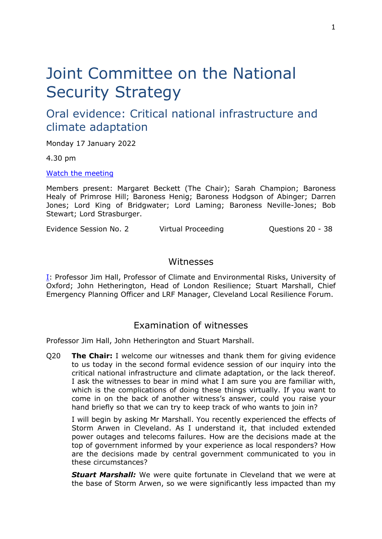# Joint Committee on the National Security Strategy

# Oral evidence: Critical national infrastructure and climate adaptation

Monday 17 January 2022

4.30 pm

[Watch](https://parliamentlive.tv/Event/Index/2b7cfb8f-fd5b-4da2-9376-c0d67e06ca7a) [the](https://parliamentlive.tv/Event/Index/2b7cfb8f-fd5b-4da2-9376-c0d67e06ca7a) [meeting](https://parliamentlive.tv/Event/Index/2b7cfb8f-fd5b-4da2-9376-c0d67e06ca7a)

Members present: Margaret Beckett (The Chair); Sarah Champion; Baroness Healy of Primrose Hill; Baroness Henig; Baroness Hodgson of Abinger; Darren Jones; Lord King of Bridgwater; Lord Laming; Baroness Neville-Jones; Bob Stewart; Lord Strasburger.

Evidence Session No. 2 Contrary Virtual Proceeding Contract Contractors 20 - 38

### Witnesses

[I:](#page-0-0) Professor Jim Hall, Professor of Climate and Environmental Risks, University of Oxford; John Hetherington, Head of London Resilience; Stuart Marshall, Chief Emergency Planning Officer and LRF Manager, Cleveland Local Resilience Forum.

## <span id="page-0-0"></span>Examination of witnesses

Professor Jim Hall, John Hetherington and Stuart Marshall.

Q20 **The Chair:** I welcome our witnesses and thank them for giving evidence to us today in the second formal evidence session of our inquiry into the critical national infrastructure and climate adaptation, or the lack thereof. I ask the witnesses to bear in mind what I am sure you are familiar with, which is the complications of doing these things virtually. If you want to come in on the back of another witness's answer, could you raise your hand briefly so that we can try to keep track of who wants to join in?

I will begin by asking Mr Marshall. You recently experienced the effects of Storm Arwen in Cleveland. As I understand it, that included extended power outages and telecoms failures. How are the decisions made at the top of government informed by your experience as local responders? How are the decisions made by central government communicated to you in these circumstances?

*Stuart Marshall:* We were quite fortunate in Cleveland that we were at the base of Storm Arwen, so we were significantly less impacted than my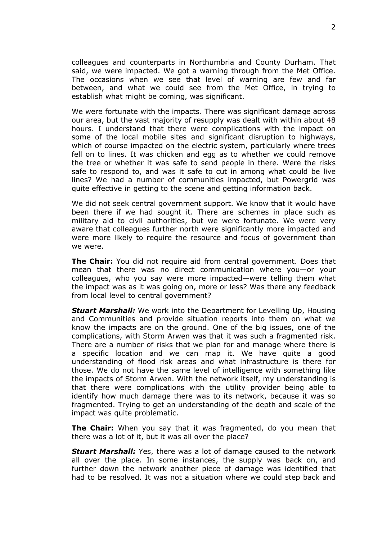colleagues and counterparts in Northumbria and County Durham. That said, we were impacted. We got a warning through from the Met Office. The occasions when we see that level of warning are few and far between, and what we could see from the Met Office, in trying to establish what might be coming, was significant.

We were fortunate with the impacts. There was significant damage across our area, but the vast majority of resupply was dealt with within about 48 hours. I understand that there were complications with the impact on some of the local mobile sites and significant disruption to highways, which of course impacted on the electric system, particularly where trees fell on to lines. It was chicken and egg as to whether we could remove the tree or whether it was safe to send people in there. Were the risks safe to respond to, and was it safe to cut in among what could be live lines? We had a number of communities impacted, but Powergrid was quite effective in getting to the scene and getting information back.

We did not seek central government support. We know that it would have been there if we had sought it. There are schemes in place such as military aid to civil authorities, but we were fortunate. We were very aware that colleagues further north were significantly more impacted and were more likely to require the resource and focus of government than we were.

**The Chair:** You did not require aid from central government. Does that mean that there was no direct communication where you—or your colleagues, who you say were more impacted—were telling them what the impact was as it was going on, more or less? Was there any feedback from local level to central government?

*Stuart Marshall:* We work into the Department for Levelling Up, Housing and Communities and provide situation reports into them on what we know the impacts are on the ground. One of the big issues, one of the complications, with Storm Arwen was that it was such a fragmented risk. There are a number of risks that we plan for and manage where there is a specific location and we can map it. We have quite a good understanding of flood risk areas and what infrastructure is there for those. We do not have the same level of intelligence with something like the impacts of Storm Arwen. With the network itself, my understanding is that there were complications with the utility provider being able to identify how much damage there was to its network, because it was so fragmented. Trying to get an understanding of the depth and scale of the impact was quite problematic.

**The Chair:** When you say that it was fragmented, do you mean that there was a lot of it, but it was all over the place?

*Stuart Marshall:* Yes, there was a lot of damage caused to the network all over the place. In some instances, the supply was back on, and further down the network another piece of damage was identified that had to be resolved. It was not a situation where we could step back and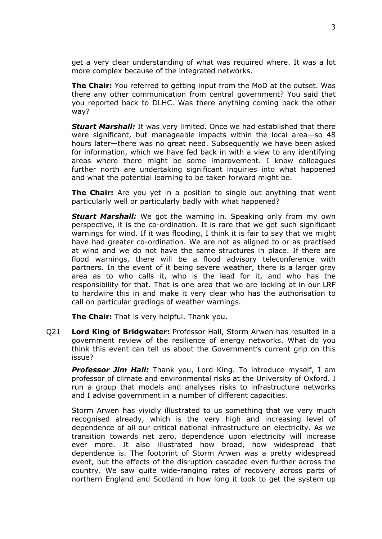get a very clear understanding of what was required where. It was a lot more complex because of the integrated networks.

**The Chair:** You referred to getting input from the MoD at the outset. Was there any other communication from central government? You said that you reported back to DLHC. Was there anything coming back the other way?

*Stuart Marshall:* It was very limited. Once we had established that there were significant, but manageable impacts within the local area—so 48 hours later—there was no great need. Subsequently we have been asked for information, which we have fed back in with a view to any identifying areas where there might be some improvement. I know colleagues further north are undertaking significant inquiries into what happened and what the potential learning to be taken forward might be.

**The Chair:** Are you yet in a position to single out anything that went particularly well or particularly badly with what happened?

*Stuart Marshall:* We got the warning in. Speaking only from my own perspective, it is the co-ordination. It is rare that we get such significant warnings for wind. If it was flooding, I think it is fair to say that we might have had greater co-ordination. We are not as aligned to or as practised at wind and we do not have the same structures in place. If there are flood warnings, there will be a flood advisory teleconference with partners. In the event of it being severe weather, there is a larger grey area as to who calls it, who is the lead for it, and who has the responsibility for that. That is one area that we are looking at in our LRF to hardwire this in and make it very clear who has the authorisation to call on particular gradings of weather warnings.

**The Chair:** That is very helpful. Thank you.

Q21 **Lord King of Bridgwater:** Professor Hall, Storm Arwen has resulted in a government review of the resilience of energy networks. What do you think this event can tell us about the Government's current grip on this issue?

*Professor Jim Hall:* Thank you, Lord King. To introduce myself, I am professor of climate and environmental risks at the University of Oxford. I run a group that models and analyses risks to infrastructure networks and I advise government in a number of different capacities.

Storm Arwen has vividly illustrated to us something that we very much recognised already, which is the very high and increasing level of dependence of all our critical national infrastructure on electricity. As we transition towards net zero, dependence upon electricity will increase ever more. It also illustrated how broad, how widespread that dependence is. The footprint of Storm Arwen was a pretty widespread event, but the effects of the disruption cascaded even further across the country. We saw quite wide-ranging rates of recovery across parts of northern England and Scotland in how long it took to get the system up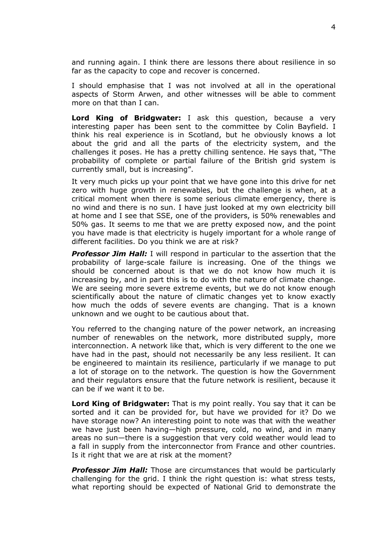and running again. I think there are lessons there about resilience in so far as the capacity to cope and recover is concerned.

I should emphasise that I was not involved at all in the operational aspects of Storm Arwen, and other witnesses will be able to comment more on that than I can.

**Lord King of Bridgwater:** I ask this question, because a very interesting paper has been sent to the committee by Colin Bayfield. I think his real experience is in Scotland, but he obviously knows a lot about the grid and all the parts of the electricity system, and the challenges it poses. He has a pretty chilling sentence. He says that, "The probability of complete or partial failure of the British grid system is currently small, but is increasing".

It very much picks up your point that we have gone into this drive for net zero with huge growth in renewables, but the challenge is when, at a critical moment when there is some serious climate emergency, there is no wind and there is no sun. I have just looked at my own electricity bill at home and I see that SSE, one of the providers, is 50% renewables and 50% gas. It seems to me that we are pretty exposed now, and the point you have made is that electricity is hugely important for a whole range of different facilities. Do you think we are at risk?

*Professor Jim Hall:* I will respond in particular to the assertion that the probability of large-scale failure is increasing. One of the things we should be concerned about is that we do not know how much it is increasing by, and in part this is to do with the nature of climate change. We are seeing more severe extreme events, but we do not know enough scientifically about the nature of climatic changes yet to know exactly how much the odds of severe events are changing. That is a known unknown and we ought to be cautious about that.

You referred to the changing nature of the power network, an increasing number of renewables on the network, more distributed supply, more interconnection. A network like that, which is very different to the one we have had in the past, should not necessarily be any less resilient. It can be engineered to maintain its resilience, particularly if we manage to put a lot of storage on to the network. The question is how the Government and their regulators ensure that the future network is resilient, because it can be if we want it to be.

**Lord King of Bridgwater:** That is my point really. You say that it can be sorted and it can be provided for, but have we provided for it? Do we have storage now? An interesting point to note was that with the weather we have just been having—high pressure, cold, no wind, and in many areas no sun—there is a suggestion that very cold weather would lead to a fall in supply from the interconnector from France and other countries. Is it right that we are at risk at the moment?

*Professor Jim Hall:* Those are circumstances that would be particularly challenging for the grid. I think the right question is: what stress tests, what reporting should be expected of National Grid to demonstrate the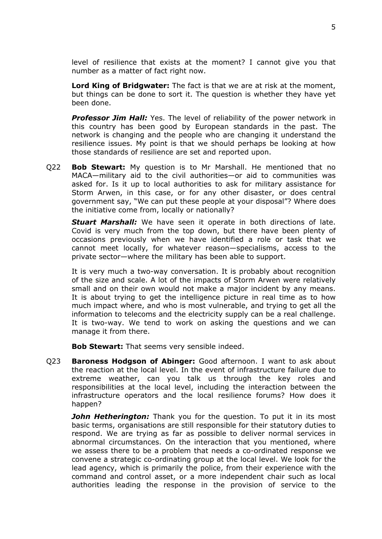level of resilience that exists at the moment? I cannot give you that number as a matter of fact right now.

**Lord King of Bridgwater:** The fact is that we are at risk at the moment, but things can be done to sort it. The question is whether they have yet been done.

*Professor Jim Hall:* Yes. The level of reliability of the power network in this country has been good by European standards in the past. The network is changing and the people who are changing it understand the resilience issues. My point is that we should perhaps be looking at how those standards of resilience are set and reported upon.

Q22 **Bob Stewart:** My question is to Mr Marshall. He mentioned that no MACA—military aid to the civil authorities—or aid to communities was asked for. Is it up to local authorities to ask for military assistance for Storm Arwen, in this case, or for any other disaster, or does central government say, "We can put these people at your disposal"? Where does the initiative come from, locally or nationally?

*Stuart Marshall:* We have seen it operate in both directions of late. Covid is very much from the top down, but there have been plenty of occasions previously when we have identified a role or task that we cannot meet locally, for whatever reason—specialisms, access to the private sector—where the military has been able to support.

It is very much a two-way conversation. It is probably about recognition of the size and scale. A lot of the impacts of Storm Arwen were relatively small and on their own would not make a major incident by any means. It is about trying to get the intelligence picture in real time as to how much impact where, and who is most vulnerable, and trying to get all the information to telecoms and the electricity supply can be a real challenge. It is two-way. We tend to work on asking the questions and we can manage it from there.

**Bob Stewart:** That seems very sensible indeed.

Q23 **Baroness Hodgson of Abinger:** Good afternoon. I want to ask about the reaction at the local level. In the event of infrastructure failure due to extreme weather, can you talk us through the key roles and responsibilities at the local level, including the interaction between the infrastructure operators and the local resilience forums? How does it happen?

**John Hetherington:** Thank you for the question. To put it in its most basic terms, organisations are still responsible for their statutory duties to respond. We are trying as far as possible to deliver normal services in abnormal circumstances. On the interaction that you mentioned, where we assess there to be a problem that needs a co-ordinated response we convene a strategic co-ordinating group at the local level. We look for the lead agency, which is primarily the police, from their experience with the command and control asset, or a more independent chair such as local authorities leading the response in the provision of service to the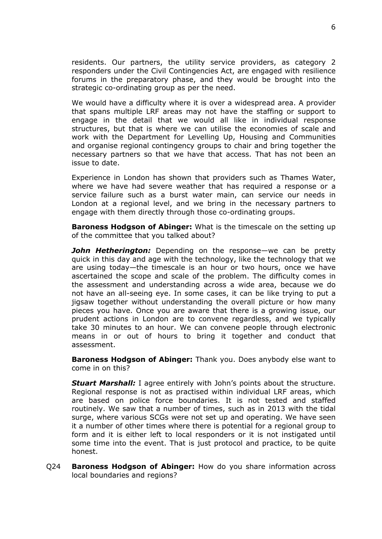residents. Our partners, the utility service providers, as category 2 responders under the Civil Contingencies Act, are engaged with resilience forums in the preparatory phase, and they would be brought into the strategic co-ordinating group as per the need.

We would have a difficulty where it is over a widespread area. A provider that spans multiple LRF areas may not have the staffing or support to engage in the detail that we would all like in individual response structures, but that is where we can utilise the economies of scale and work with the Department for Levelling Up, Housing and Communities and organise regional contingency groups to chair and bring together the necessary partners so that we have that access. That has not been an issue to date.

Experience in London has shown that providers such as Thames Water, where we have had severe weather that has required a response or a service failure such as a burst water main, can service our needs in London at a regional level, and we bring in the necessary partners to engage with them directly through those co-ordinating groups.

**Baroness Hodgson of Abinger:** What is the timescale on the setting up of the committee that you talked about?

*John Hetherington:* Depending on the response—we can be pretty quick in this day and age with the technology, like the technology that we are using today—the timescale is an hour or two hours, once we have ascertained the scope and scale of the problem. The difficulty comes in the assessment and understanding across a wide area, because we do not have an all-seeing eye. In some cases, it can be like trying to put a jigsaw together without understanding the overall picture or how many pieces you have. Once you are aware that there is a growing issue, our prudent actions in London are to convene regardless, and we typically take 30 minutes to an hour. We can convene people through electronic means in or out of hours to bring it together and conduct that assessment.

**Baroness Hodgson of Abinger:** Thank you. Does anybody else want to come in on this?

**Stuart Marshall:** I agree entirely with John's points about the structure. Regional response is not as practised within individual LRF areas, which are based on police force boundaries. It is not tested and staffed routinely. We saw that a number of times, such as in 2013 with the tidal surge, where various SCGs were not set up and operating. We have seen it a number of other times where there is potential for a regional group to form and it is either left to local responders or it is not instigated until some time into the event. That is just protocol and practice, to be quite honest.

Q24 **Baroness Hodgson of Abinger:** How do you share information across local boundaries and regions?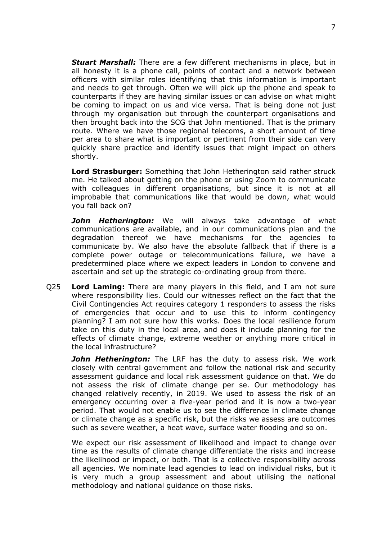*Stuart Marshall:* There are a few different mechanisms in place, but in all honesty it is a phone call, points of contact and a network between officers with similar roles identifying that this information is important and needs to get through. Often we will pick up the phone and speak to counterparts if they are having similar issues or can advise on what might be coming to impact on us and vice versa. That is being done not just through my organisation but through the counterpart organisations and then brought back into the SCG that John mentioned. That is the primary route. Where we have those regional telecoms, a short amount of time per area to share what is important or pertinent from their side can very quickly share practice and identify issues that might impact on others shortly.

**Lord Strasburger:** Something that John Hetherington said rather struck me. He talked about getting on the phone or using Zoom to communicate with colleagues in different organisations, but since it is not at all improbable that communications like that would be down, what would you fall back on?

*John Hetherington:* We will always take advantage of what communications are available, and in our communications plan and the degradation thereof we have mechanisms for the agencies to communicate by. We also have the absolute fallback that if there is a complete power outage or telecommunications failure, we have a predetermined place where we expect leaders in London to convene and ascertain and set up the strategic co-ordinating group from there.

Q25 **Lord Laming:** There are many players in this field, and I am not sure where responsibility lies. Could our witnesses reflect on the fact that the Civil Contingencies Act requires category 1 responders to assess the risks of emergencies that occur and to use this to inform contingency planning? I am not sure how this works. Does the local resilience forum take on this duty in the local area, and does it include planning for the effects of climate change, extreme weather or anything more critical in the local infrastructure?

*John Hetherington:* The LRF has the duty to assess risk. We work closely with central government and follow the national risk and security assessment guidance and local risk assessment guidance on that. We do not assess the risk of climate change per se. Our methodology has changed relatively recently, in 2019. We used to assess the risk of an emergency occurring over a five-year period and it is now a two-year period. That would not enable us to see the difference in climate change or climate change as a specific risk, but the risks we assess are outcomes such as severe weather, a heat wave, surface water flooding and so on.

We expect our risk assessment of likelihood and impact to change over time as the results of climate change differentiate the risks and increase the likelihood or impact, or both. That is a collective responsibility across all agencies. We nominate lead agencies to lead on individual risks, but it is very much a group assessment and about utilising the national methodology and national guidance on those risks.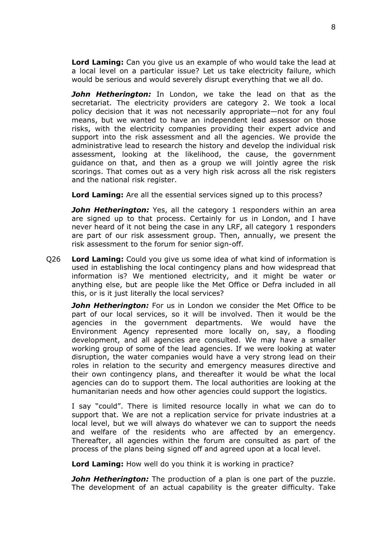**Lord Laming:** Can you give us an example of who would take the lead at a local level on a particular issue? Let us take electricity failure, which would be serious and would severely disrupt everything that we all do.

*John Hetherington:* In London, we take the lead on that as the secretariat. The electricity providers are category 2. We took a local policy decision that it was not necessarily appropriate—not for any foul means, but we wanted to have an independent lead assessor on those risks, with the electricity companies providing their expert advice and support into the risk assessment and all the agencies. We provide the administrative lead to research the history and develop the individual risk assessment, looking at the likelihood, the cause, the government guidance on that, and then as a group we will jointly agree the risk scorings. That comes out as a very high risk across all the risk registers and the national risk register.

**Lord Laming:** Are all the essential services signed up to this process?

*John Hetherington:* Yes, all the category 1 responders within an area are signed up to that process. Certainly for us in London, and I have never heard of it not being the case in any LRF, all category 1 responders are part of our risk assessment group. Then, annually, we present the risk assessment to the forum for senior sign-off.

Q26 **Lord Laming:** Could you give us some idea of what kind of information is used in establishing the local contingency plans and how widespread that information is? We mentioned electricity, and it might be water or anything else, but are people like the Met Office or Defra included in all this, or is it just literally the local services?

*John Hetherington:* For us in London we consider the Met Office to be part of our local services, so it will be involved. Then it would be the agencies in the government departments. We would have the Environment Agency represented more locally on, say, a flooding development, and all agencies are consulted. We may have a smaller working group of some of the lead agencies. If we were looking at water disruption, the water companies would have a very strong lead on their roles in relation to the security and emergency measures directive and their own contingency plans, and thereafter it would be what the local agencies can do to support them. The local authorities are looking at the humanitarian needs and how other agencies could support the logistics.

I say "could". There is limited resource locally in what we can do to support that. We are not a replication service for private industries at a local level, but we will always do whatever we can to support the needs and welfare of the residents who are affected by an emergency. Thereafter, all agencies within the forum are consulted as part of the process of the plans being signed off and agreed upon at a local level.

**Lord Laming:** How well do you think it is working in practice?

*John Hetherington:* The production of a plan is one part of the puzzle. The development of an actual capability is the greater difficulty. Take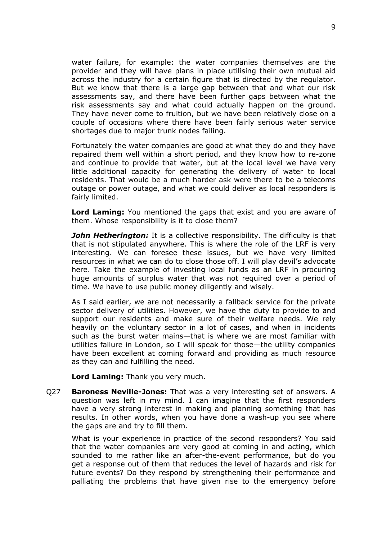water failure, for example: the water companies themselves are the provider and they will have plans in place utilising their own mutual aid across the industry for a certain figure that is directed by the regulator. But we know that there is a large gap between that and what our risk assessments say, and there have been further gaps between what the risk assessments say and what could actually happen on the ground. They have never come to fruition, but we have been relatively close on a couple of occasions where there have been fairly serious water service shortages due to major trunk nodes failing.

Fortunately the water companies are good at what they do and they have repaired them well within a short period, and they know how to re-zone and continue to provide that water, but at the local level we have very little additional capacity for generating the delivery of water to local residents. That would be a much harder ask were there to be a telecoms outage or power outage, and what we could deliver as local responders is fairly limited.

**Lord Laming:** You mentioned the gaps that exist and you are aware of them. Whose responsibility is it to close them?

*John Hetherington:* It is a collective responsibility. The difficulty is that that is not stipulated anywhere. This is where the role of the LRF is very interesting. We can foresee these issues, but we have very limited resources in what we can do to close those off. I will play devil's advocate here. Take the example of investing local funds as an LRF in procuring huge amounts of surplus water that was not required over a period of time. We have to use public money diligently and wisely.

As I said earlier, we are not necessarily a fallback service for the private sector delivery of utilities. However, we have the duty to provide to and support our residents and make sure of their welfare needs. We rely heavily on the voluntary sector in a lot of cases, and when in incidents such as the burst water mains—that is where we are most familiar with utilities failure in London, so I will speak for those—the utility companies have been excellent at coming forward and providing as much resource as they can and fulfilling the need.

**Lord Laming:** Thank you very much.

Q27 **Baroness Neville-Jones:** That was a very interesting set of answers. A question was left in my mind. I can imagine that the first responders have a very strong interest in making and planning something that has results. In other words, when you have done a wash-up you see where the gaps are and try to fill them.

What is your experience in practice of the second responders? You said that the water companies are very good at coming in and acting, which sounded to me rather like an after-the-event performance, but do you get a response out of them that reduces the level of hazards and risk for future events? Do they respond by strengthening their performance and palliating the problems that have given rise to the emergency before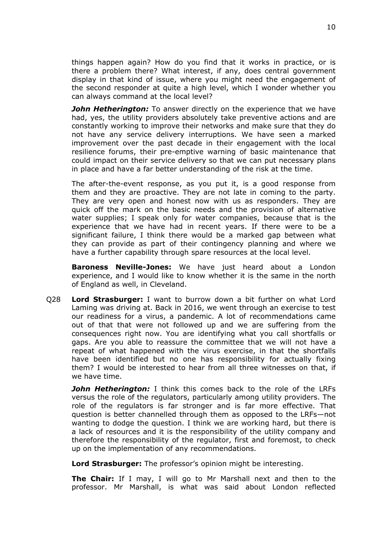things happen again? How do you find that it works in practice, or is there a problem there? What interest, if any, does central government display in that kind of issue, where you might need the engagement of the second responder at quite a high level, which I wonder whether you can always command at the local level?

*John Hetherington:* To answer directly on the experience that we have had, yes, the utility providers absolutely take preventive actions and are constantly working to improve their networks and make sure that they do not have any service delivery interruptions. We have seen a marked improvement over the past decade in their engagement with the local resilience forums, their pre-emptive warning of basic maintenance that could impact on their service delivery so that we can put necessary plans in place and have a far better understanding of the risk at the time.

The after-the-event response, as you put it, is a good response from them and they are proactive. They are not late in coming to the party. They are very open and honest now with us as responders. They are quick off the mark on the basic needs and the provision of alternative water supplies; I speak only for water companies, because that is the experience that we have had in recent years. If there were to be a significant failure, I think there would be a marked gap between what they can provide as part of their contingency planning and where we have a further capability through spare resources at the local level.

**Baroness Neville-Jones:** We have just heard about a London experience, and I would like to know whether it is the same in the north of England as well, in Cleveland.

Q28 **Lord Strasburger:** I want to burrow down a bit further on what Lord Laming was driving at. Back in 2016, we went through an exercise to test our readiness for a virus, a pandemic. A lot of recommendations came out of that that were not followed up and we are suffering from the consequences right now. You are identifying what you call shortfalls or gaps. Are you able to reassure the committee that we will not have a repeat of what happened with the virus exercise, in that the shortfalls have been identified but no one has responsibility for actually fixing them? I would be interested to hear from all three witnesses on that, if we have time.

*John Hetherington:* I think this comes back to the role of the LRFs versus the role of the regulators, particularly among utility providers. The role of the regulators is far stronger and is far more effective. That question is better channelled through them as opposed to the LRFs—not wanting to dodge the question. I think we are working hard, but there is a lack of resources and it is the responsibility of the utility company and therefore the responsibility of the regulator, first and foremost, to check up on the implementation of any recommendations.

**Lord Strasburger:** The professor's opinion might be interesting.

**The Chair:** If I may, I will go to Mr Marshall next and then to the professor. Mr Marshall, is what was said about London reflected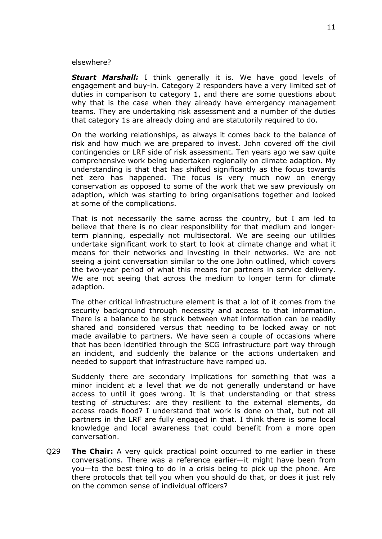#### elsewhere?

*Stuart Marshall:* I think generally it is. We have good levels of engagement and buy-in. Category 2 responders have a very limited set of duties in comparison to category 1, and there are some questions about why that is the case when they already have emergency management teams. They are undertaking risk assessment and a number of the duties that category 1s are already doing and are statutorily required to do.

On the working relationships, as always it comes back to the balance of risk and how much we are prepared to invest. John covered off the civil contingencies or LRF side of risk assessment. Ten years ago we saw quite comprehensive work being undertaken regionally on climate adaption. My understanding is that that has shifted significantly as the focus towards net zero has happened. The focus is very much now on energy conservation as opposed to some of the work that we saw previously on adaption, which was starting to bring organisations together and looked at some of the complications.

That is not necessarily the same across the country, but I am led to believe that there is no clear responsibility for that medium and longerterm planning, especially not multisectoral. We are seeing our utilities undertake significant work to start to look at climate change and what it means for their networks and investing in their networks. We are not seeing a joint conversation similar to the one John outlined, which covers the two-year period of what this means for partners in service delivery. We are not seeing that across the medium to longer term for climate adaption.

The other critical infrastructure element is that a lot of it comes from the security background through necessity and access to that information. There is a balance to be struck between what information can be readily shared and considered versus that needing to be locked away or not made available to partners. We have seen a couple of occasions where that has been identified through the SCG infrastructure part way through an incident, and suddenly the balance or the actions undertaken and needed to support that infrastructure have ramped up.

Suddenly there are secondary implications for something that was a minor incident at a level that we do not generally understand or have access to until it goes wrong. It is that understanding or that stress testing of structures: are they resilient to the external elements, do access roads flood? I understand that work is done on that, but not all partners in the LRF are fully engaged in that. I think there is some local knowledge and local awareness that could benefit from a more open conversation.

Q29 **The Chair:** A very quick practical point occurred to me earlier in these conversations. There was a reference earlier—it might have been from you—to the best thing to do in a crisis being to pick up the phone. Are there protocols that tell you when you should do that, or does it just rely on the common sense of individual officers?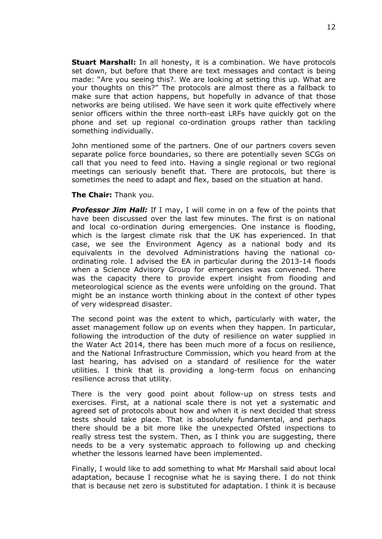**Stuart Marshall:** In all honesty, it is a combination. We have protocols set down, but before that there are text messages and contact is being made: "Are you seeing this?. We are looking at setting this up. What are your thoughts on this?" The protocols are almost there as a fallback to make sure that action happens, but hopefully in advance of that those networks are being utilised. We have seen it work quite effectively where senior officers within the three north-east LRFs have quickly got on the phone and set up regional co-ordination groups rather than tackling something individually.

John mentioned some of the partners. One of our partners covers seven separate police force boundaries, so there are potentially seven SCGs on call that you need to feed into. Having a single regional or two regional meetings can seriously benefit that. There are protocols, but there is sometimes the need to adapt and flex, based on the situation at hand.

#### **The Chair:** Thank you.

*Professor Jim Hall:* If I may, I will come in on a few of the points that have been discussed over the last few minutes. The first is on national and local co-ordination during emergencies. One instance is flooding, which is the largest climate risk that the UK has experienced. In that case, we see the Environment Agency as a national body and its equivalents in the devolved Administrations having the national coordinating role. I advised the EA in particular during the 2013-14 floods when a Science Advisory Group for emergencies was convened. There was the capacity there to provide expert insight from flooding and meteorological science as the events were unfolding on the ground. That might be an instance worth thinking about in the context of other types of very widespread disaster.

The second point was the extent to which, particularly with water, the asset management follow up on events when they happen. In particular, following the introduction of the duty of resilience on water supplied in the Water Act 2014, there has been much more of a focus on resilience, and the National Infrastructure Commission, which you heard from at the last hearing, has advised on a standard of resilience for the water utilities. I think that is providing a long-term focus on enhancing resilience across that utility.

There is the very good point about follow-up on stress tests and exercises. First, at a national scale there is not yet a systematic and agreed set of protocols about how and when it is next decided that stress tests should take place. That is absolutely fundamental, and perhaps there should be a bit more like the unexpected Ofsted inspections to really stress test the system. Then, as I think you are suggesting, there needs to be a very systematic approach to following up and checking whether the lessons learned have been implemented.

Finally, I would like to add something to what Mr Marshall said about local adaptation, because I recognise what he is saying there. I do not think that is because net zero is substituted for adaptation. I think it is because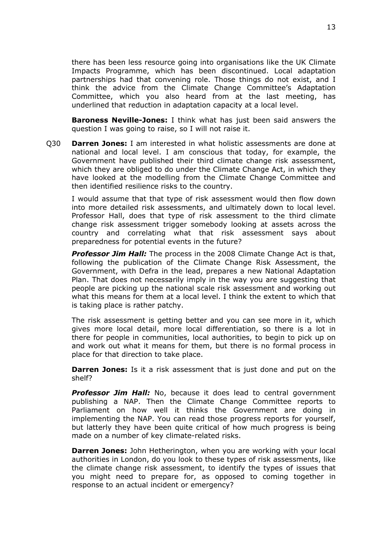there has been less resource going into organisations like the UK Climate Impacts Programme, which has been discontinued. Local adaptation partnerships had that convening role. Those things do not exist, and I think the advice from the Climate Change Committee's Adaptation Committee, which you also heard from at the last meeting, has underlined that reduction in adaptation capacity at a local level.

**Baroness Neville-Jones:** I think what has just been said answers the question I was going to raise, so I will not raise it.

Q30 **Darren Jones:** I am interested in what holistic assessments are done at national and local level. I am conscious that today, for example, the Government have published their third climate change risk assessment, which they are obliged to do under the Climate Change Act, in which they have looked at the modelling from the Climate Change Committee and then identified resilience risks to the country.

I would assume that that type of risk assessment would then flow down into more detailed risk assessments, and ultimately down to local level. Professor Hall, does that type of risk assessment to the third climate change risk assessment trigger somebody looking at assets across the country and correlating what that risk assessment says about preparedness for potential events in the future?

*Professor Jim Hall:* The process in the 2008 Climate Change Act is that, following the publication of the Climate Change Risk Assessment, the Government, with Defra in the lead, prepares a new National Adaptation Plan. That does not necessarily imply in the way you are suggesting that people are picking up the national scale risk assessment and working out what this means for them at a local level. I think the extent to which that is taking place is rather patchy.

The risk assessment is getting better and you can see more in it, which gives more local detail, more local differentiation, so there is a lot in there for people in communities, local authorities, to begin to pick up on and work out what it means for them, but there is no formal process in place for that direction to take place.

**Darren Jones:** Is it a risk assessment that is just done and put on the shelf?

*Professor Jim Hall:* No, because it does lead to central government publishing a NAP. Then the Climate Change Committee reports to Parliament on how well it thinks the Government are doing in implementing the NAP. You can read those progress reports for yourself, but latterly they have been quite critical of how much progress is being made on a number of key climate-related risks.

**Darren Jones:** John Hetherington, when you are working with your local authorities in London, do you look to these types of risk assessments, like the climate change risk assessment, to identify the types of issues that you might need to prepare for, as opposed to coming together in response to an actual incident or emergency?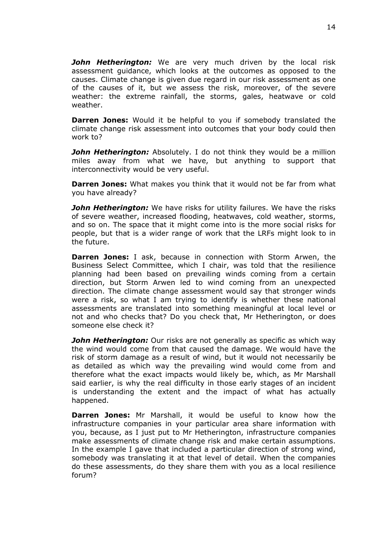*John Hetherington:* We are very much driven by the local risk assessment guidance, which looks at the outcomes as opposed to the causes. Climate change is given due regard in our risk assessment as one of the causes of it, but we assess the risk, moreover, of the severe weather: the extreme rainfall, the storms, gales, heatwave or cold weather.

**Darren Jones:** Would it be helpful to you if somebody translated the climate change risk assessment into outcomes that your body could then work to?

*John Hetherington:* Absolutely. I do not think they would be a million miles away from what we have, but anything to support that interconnectivity would be very useful.

**Darren Jones:** What makes you think that it would not be far from what you have already?

*John Hetherington:* We have risks for utility failures. We have the risks of severe weather, increased flooding, heatwaves, cold weather, storms, and so on. The space that it might come into is the more social risks for people, but that is a wider range of work that the LRFs might look to in the future.

**Darren Jones:** I ask, because in connection with Storm Arwen, the Business Select Committee, which I chair, was told that the resilience planning had been based on prevailing winds coming from a certain direction, but Storm Arwen led to wind coming from an unexpected direction. The climate change assessment would say that stronger winds were a risk, so what I am trying to identify is whether these national assessments are translated into something meaningful at local level or not and who checks that? Do you check that, Mr Hetherington, or does someone else check it?

*John Hetherington:* Our risks are not generally as specific as which way the wind would come from that caused the damage. We would have the risk of storm damage as a result of wind, but it would not necessarily be as detailed as which way the prevailing wind would come from and therefore what the exact impacts would likely be, which, as Mr Marshall said earlier, is why the real difficulty in those early stages of an incident is understanding the extent and the impact of what has actually happened.

**Darren Jones:** Mr Marshall, it would be useful to know how the infrastructure companies in your particular area share information with you, because, as I just put to Mr Hetherington, infrastructure companies make assessments of climate change risk and make certain assumptions. In the example I gave that included a particular direction of strong wind, somebody was translating it at that level of detail. When the companies do these assessments, do they share them with you as a local resilience forum?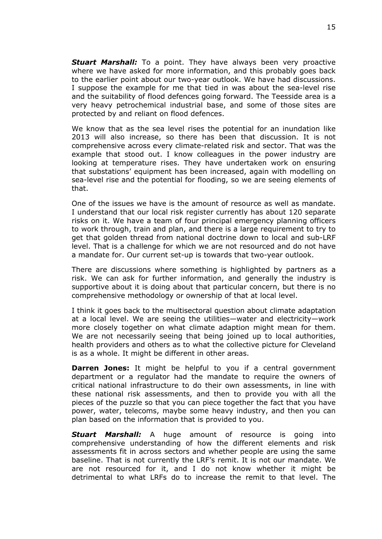*Stuart Marshall:* To a point. They have always been very proactive where we have asked for more information, and this probably goes back to the earlier point about our two-year outlook. We have had discussions. I suppose the example for me that tied in was about the sea-level rise and the suitability of flood defences going forward. The Teesside area is a very heavy petrochemical industrial base, and some of those sites are protected by and reliant on flood defences.

We know that as the sea level rises the potential for an inundation like 2013 will also increase, so there has been that discussion. It is not comprehensive across every climate-related risk and sector. That was the example that stood out. I know colleagues in the power industry are looking at temperature rises. They have undertaken work on ensuring that substations' equipment has been increased, again with modelling on sea-level rise and the potential for flooding, so we are seeing elements of that.

One of the issues we have is the amount of resource as well as mandate. I understand that our local risk register currently has about 120 separate risks on it. We have a team of four principal emergency planning officers to work through, train and plan, and there is a large requirement to try to get that golden thread from national doctrine down to local and sub-LRF level. That is a challenge for which we are not resourced and do not have a mandate for. Our current set-up is towards that two-year outlook.

There are discussions where something is highlighted by partners as a risk. We can ask for further information, and generally the industry is supportive about it is doing about that particular concern, but there is no comprehensive methodology or ownership of that at local level.

I think it goes back to the multisectoral question about climate adaptation at a local level. We are seeing the utilities—water and electricity—work more closely together on what climate adaption might mean for them. We are not necessarily seeing that being joined up to local authorities, health providers and others as to what the collective picture for Cleveland is as a whole. It might be different in other areas.

**Darren Jones:** It might be helpful to you if a central government department or a regulator had the mandate to require the owners of critical national infrastructure to do their own assessments, in line with these national risk assessments, and then to provide you with all the pieces of the puzzle so that you can piece together the fact that you have power, water, telecoms, maybe some heavy industry, and then you can plan based on the information that is provided to you.

*Stuart Marshall:* A huge amount of resource is going into comprehensive understanding of how the different elements and risk assessments fit in across sectors and whether people are using the same baseline. That is not currently the LRF's remit. It is not our mandate. We are not resourced for it, and I do not know whether it might be detrimental to what LRFs do to increase the remit to that level. The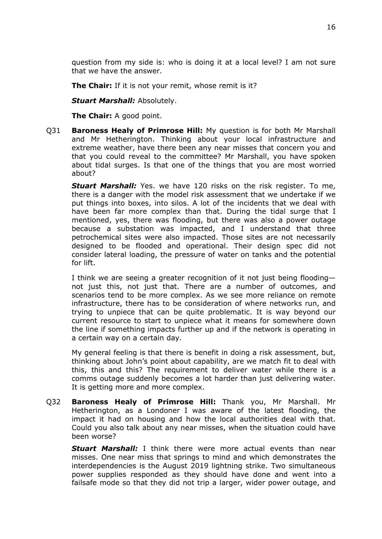question from my side is: who is doing it at a local level? I am not sure that we have the answer.

**The Chair:** If it is not your remit, whose remit is it?

*Stuart Marshall:* Absolutely.

**The Chair:** A good point.

Q31 **Baroness Healy of Primrose Hill:** My question is for both Mr Marshall and Mr Hetherington. Thinking about your local infrastructure and extreme weather, have there been any near misses that concern you and that you could reveal to the committee? Mr Marshall, you have spoken about tidal surges. Is that one of the things that you are most worried about?

*Stuart Marshall:* Yes. we have 120 risks on the risk register. To me, there is a danger with the model risk assessment that we undertake if we put things into boxes, into silos. A lot of the incidents that we deal with have been far more complex than that. During the tidal surge that I mentioned, yes, there was flooding, but there was also a power outage because a substation was impacted, and I understand that three petrochemical sites were also impacted. Those sites are not necessarily designed to be flooded and operational. Their design spec did not consider lateral loading, the pressure of water on tanks and the potential for lift.

I think we are seeing a greater recognition of it not just being flooding not just this, not just that. There are a number of outcomes, and scenarios tend to be more complex. As we see more reliance on remote infrastructure, there has to be consideration of where networks run, and trying to unpiece that can be quite problematic. It is way beyond our current resource to start to unpiece what it means for somewhere down the line if something impacts further up and if the network is operating in a certain way on a certain day.

My general feeling is that there is benefit in doing a risk assessment, but, thinking about John's point about capability, are we match fit to deal with this, this and this? The requirement to deliver water while there is a comms outage suddenly becomes a lot harder than just delivering water. It is getting more and more complex.

Q32 **Baroness Healy of Primrose Hill:** Thank you, Mr Marshall. Mr Hetherington, as a Londoner I was aware of the latest flooding, the impact it had on housing and how the local authorities deal with that. Could you also talk about any near misses, when the situation could have been worse?

*Stuart Marshall:* I think there were more actual events than near misses. One near miss that springs to mind and which demonstrates the interdependencies is the August 2019 lightning strike. Two simultaneous power supplies responded as they should have done and went into a failsafe mode so that they did not trip a larger, wider power outage, and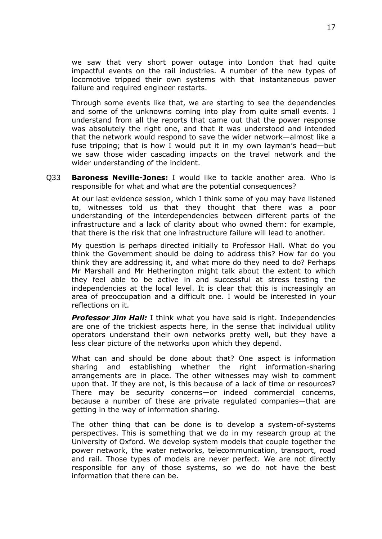we saw that very short power outage into London that had quite impactful events on the rail industries. A number of the new types of locomotive tripped their own systems with that instantaneous power failure and required engineer restarts.

Through some events like that, we are starting to see the dependencies and some of the unknowns coming into play from quite small events. I understand from all the reports that came out that the power response was absolutely the right one, and that it was understood and intended that the network would respond to save the wider network—almost like a fuse tripping; that is how I would put it in my own layman's head—but we saw those wider cascading impacts on the travel network and the wider understanding of the incident.

Q33 **Baroness Neville-Jones:** I would like to tackle another area. Who is responsible for what and what are the potential consequences?

At our last evidence session, which I think some of you may have listened to, witnesses told us that they thought that there was a poor understanding of the interdependencies between different parts of the infrastructure and a lack of clarity about who owned them: for example, that there is the risk that one infrastructure failure will lead to another.

My question is perhaps directed initially to Professor Hall. What do you think the Government should be doing to address this? How far do you think they are addressing it, and what more do they need to do? Perhaps Mr Marshall and Mr Hetherington might talk about the extent to which they feel able to be active in and successful at stress testing the independencies at the local level. It is clear that this is increasingly an area of preoccupation and a difficult one. I would be interested in your reflections on it.

*Professor Jim Hall:* I think what you have said is right. Independencies are one of the trickiest aspects here, in the sense that individual utility operators understand their own networks pretty well, but they have a less clear picture of the networks upon which they depend.

What can and should be done about that? One aspect is information sharing and establishing whether the right information-sharing arrangements are in place. The other witnesses may wish to comment upon that. If they are not, is this because of a lack of time or resources? There may be security concerns—or indeed commercial concerns, because a number of these are private regulated companies—that are getting in the way of information sharing.

The other thing that can be done is to develop a system-of-systems perspectives. This is something that we do in my research group at the University of Oxford. We develop system models that couple together the power network, the water networks, telecommunication, transport, road and rail. Those types of models are never perfect. We are not directly responsible for any of those systems, so we do not have the best information that there can be.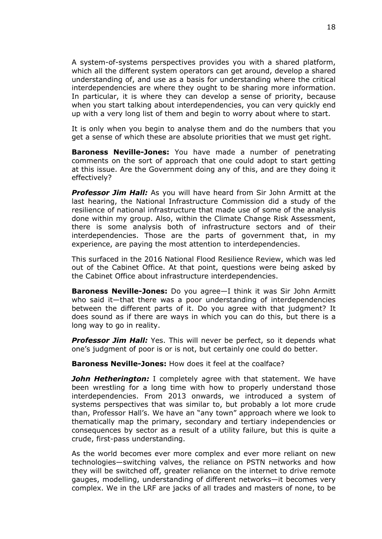A system-of-systems perspectives provides you with a shared platform, which all the different system operators can get around, develop a shared understanding of, and use as a basis for understanding where the critical interdependencies are where they ought to be sharing more information. In particular, it is where they can develop a sense of priority, because when you start talking about interdependencies, you can very quickly end up with a very long list of them and begin to worry about where to start.

It is only when you begin to analyse them and do the numbers that you get a sense of which these are absolute priorities that we must get right.

**Baroness Neville-Jones:** You have made a number of penetrating comments on the sort of approach that one could adopt to start getting at this issue. Are the Government doing any of this, and are they doing it effectively?

*Professor Jim Hall:* As you will have heard from Sir John Armitt at the last hearing, the National Infrastructure Commission did a study of the resilience of national infrastructure that made use of some of the analysis done within my group. Also, within the Climate Change Risk Assessment, there is some analysis both of infrastructure sectors and of their interdependencies. Those are the parts of government that, in my experience, are paying the most attention to interdependencies.

This surfaced in the 2016 National Flood Resilience Review, which was led out of the Cabinet Office. At that point, questions were being asked by the Cabinet Office about infrastructure interdependencies.

**Baroness Neville-Jones:** Do you agree—I think it was Sir John Armitt who said it—that there was a poor understanding of interdependencies between the different parts of it. Do you agree with that judgment? It does sound as if there are ways in which you can do this, but there is a long way to go in reality.

*Professor Jim Hall:* Yes. This will never be perfect, so it depends what one's judgment of poor is or is not, but certainly one could do better.

**Baroness Neville-Jones:** How does it feel at the coalface?

*John Hetherington:* I completely agree with that statement. We have been wrestling for a long time with how to properly understand those interdependencies. From 2013 onwards, we introduced a system of systems perspectives that was similar to, but probably a lot more crude than, Professor Hall's. We have an "any town" approach where we look to thematically map the primary, secondary and tertiary independencies or consequences by sector as a result of a utility failure, but this is quite a crude, first-pass understanding.

As the world becomes ever more complex and ever more reliant on new technologies—switching valves, the reliance on PSTN networks and how they will be switched off, greater reliance on the internet to drive remote gauges, modelling, understanding of different networks—it becomes very complex. We in the LRF are jacks of all trades and masters of none, to be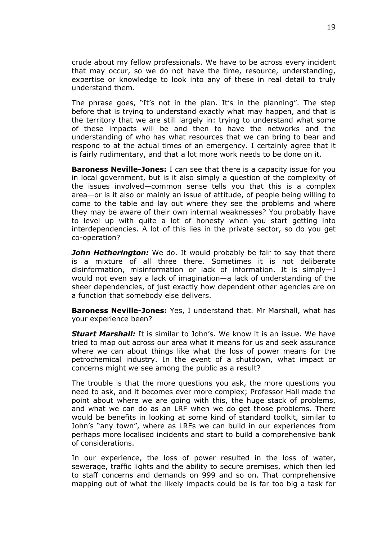crude about my fellow professionals. We have to be across every incident that may occur, so we do not have the time, resource, understanding, expertise or knowledge to look into any of these in real detail to truly understand them.

The phrase goes, "It's not in the plan. It's in the planning". The step before that is trying to understand exactly what may happen, and that is the territory that we are still largely in: trying to understand what some of these impacts will be and then to have the networks and the understanding of who has what resources that we can bring to bear and respond to at the actual times of an emergency. I certainly agree that it is fairly rudimentary, and that a lot more work needs to be done on it.

**Baroness Neville-Jones:** I can see that there is a capacity issue for you in local government, but is it also simply a question of the complexity of the issues involved—common sense tells you that this is a complex area—or is it also or mainly an issue of attitude, of people being willing to come to the table and lay out where they see the problems and where they may be aware of their own internal weaknesses? You probably have to level up with quite a lot of honesty when you start getting into interdependencies. A lot of this lies in the private sector, so do you get co-operation?

*John Hetherington:* We do. It would probably be fair to say that there is a mixture of all three there. Sometimes it is not deliberate disinformation, misinformation or lack of information. It is simply—I would not even say a lack of imagination—a lack of understanding of the sheer dependencies, of just exactly how dependent other agencies are on a function that somebody else delivers.

**Baroness Neville-Jones:** Yes, I understand that. Mr Marshall, what has your experience been?

*Stuart Marshall:* It is similar to John's. We know it is an issue. We have tried to map out across our area what it means for us and seek assurance where we can about things like what the loss of power means for the petrochemical industry. In the event of a shutdown, what impact or concerns might we see among the public as a result?

The trouble is that the more questions you ask, the more questions you need to ask, and it becomes ever more complex; Professor Hall made the point about where we are going with this, the huge stack of problems, and what we can do as an LRF when we do get those problems. There would be benefits in looking at some kind of standard toolkit, similar to John's "any town", where as LRFs we can build in our experiences from perhaps more localised incidents and start to build a comprehensive bank of considerations.

In our experience, the loss of power resulted in the loss of water, sewerage, traffic lights and the ability to secure premises, which then led to staff concerns and demands on 999 and so on. That comprehensive mapping out of what the likely impacts could be is far too big a task for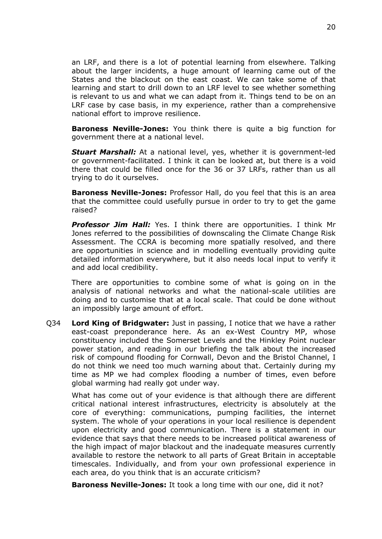an LRF, and there is a lot of potential learning from elsewhere. Talking about the larger incidents, a huge amount of learning came out of the States and the blackout on the east coast. We can take some of that learning and start to drill down to an LRF level to see whether something is relevant to us and what we can adapt from it. Things tend to be on an LRF case by case basis, in my experience, rather than a comprehensive national effort to improve resilience.

**Baroness Neville-Jones:** You think there is quite a big function for government there at a national level.

*Stuart Marshall:* At a national level, yes, whether it is government-led or government-facilitated. I think it can be looked at, but there is a void there that could be filled once for the 36 or 37 LRFs, rather than us all trying to do it ourselves.

**Baroness Neville-Jones:** Professor Hall, do you feel that this is an area that the committee could usefully pursue in order to try to get the game raised?

*Professor Jim Hall:* Yes. I think there are opportunities. I think Mr Jones referred to the possibilities of downscaling the Climate Change Risk Assessment. The CCRA is becoming more spatially resolved, and there are opportunities in science and in modelling eventually providing quite detailed information everywhere, but it also needs local input to verify it and add local credibility.

There are opportunities to combine some of what is going on in the analysis of national networks and what the national-scale utilities are doing and to customise that at a local scale. That could be done without an impossibly large amount of effort.

Q34 **Lord King of Bridgwater:** Just in passing, I notice that we have a rather east-coast preponderance here. As an ex-West Country MP, whose constituency included the Somerset Levels and the Hinkley Point nuclear power station, and reading in our briefing the talk about the increased risk of compound flooding for Cornwall, Devon and the Bristol Channel, I do not think we need too much warning about that. Certainly during my time as MP we had complex flooding a number of times, even before global warming had really got under way.

What has come out of your evidence is that although there are different critical national interest infrastructures, electricity is absolutely at the core of everything: communications, pumping facilities, the internet system. The whole of your operations in your local resilience is dependent upon electricity and good communication. There is a statement in our evidence that says that there needs to be increased political awareness of the high impact of major blackout and the inadequate measures currently available to restore the network to all parts of Great Britain in acceptable timescales. Individually, and from your own professional experience in each area, do you think that is an accurate criticism?

**Baroness Neville-Jones:** It took a long time with our one, did it not?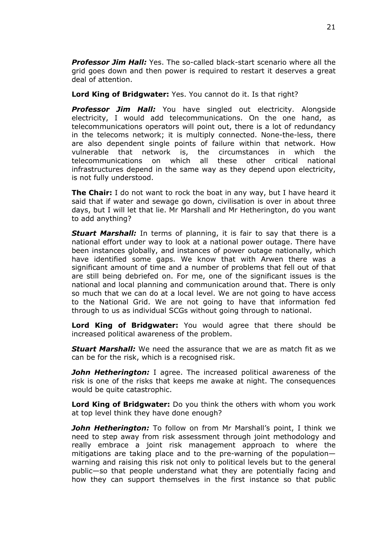*Professor Jim Hall:* Yes. The so-called black-start scenario where all the grid goes down and then power is required to restart it deserves a great deal of attention.

**Lord King of Bridgwater:** Yes. You cannot do it. Is that right?

*Professor Jim Hall:* You have singled out electricity. Alongside electricity, I would add telecommunications. On the one hand, as telecommunications operators will point out, there is a lot of redundancy in the telecoms network; it is multiply connected. None-the-less, there are also dependent single points of failure within that network. How vulnerable that network is, the circumstances in which the telecommunications on which all these other critical national infrastructures depend in the same way as they depend upon electricity, is not fully understood.

**The Chair:** I do not want to rock the boat in any way, but I have heard it said that if water and sewage go down, civilisation is over in about three days, but I will let that lie. Mr Marshall and Mr Hetherington, do you want to add anything?

*Stuart Marshall:* In terms of planning, it is fair to say that there is a national effort under way to look at a national power outage. There have been instances globally, and instances of power outage nationally, which have identified some gaps. We know that with Arwen there was a significant amount of time and a number of problems that fell out of that are still being debriefed on. For me, one of the significant issues is the national and local planning and communication around that. There is only so much that we can do at a local level. We are not going to have access to the National Grid. We are not going to have that information fed through to us as individual SCGs without going through to national.

**Lord King of Bridgwater:** You would agree that there should be increased political awareness of the problem.

*Stuart Marshall:* We need the assurance that we are as match fit as we can be for the risk, which is a recognised risk.

*John Hetherington:* I agree. The increased political awareness of the risk is one of the risks that keeps me awake at night. The consequences would be quite catastrophic.

**Lord King of Bridgwater:** Do you think the others with whom you work at top level think they have done enough?

*John Hetherington:* To follow on from Mr Marshall's point, I think we need to step away from risk assessment through joint methodology and really embrace a joint risk management approach to where the mitigations are taking place and to the pre-warning of the population warning and raising this risk not only to political levels but to the general public—so that people understand what they are potentially facing and how they can support themselves in the first instance so that public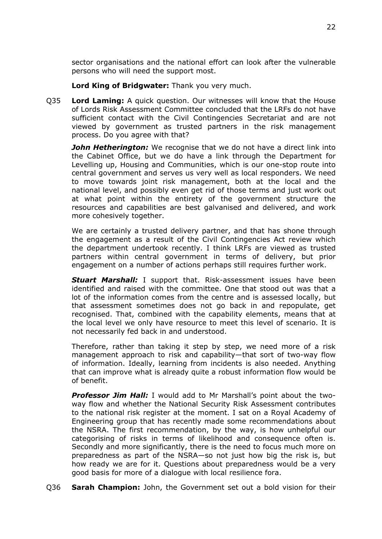sector organisations and the national effort can look after the vulnerable persons who will need the support most.

**Lord King of Bridgwater:** Thank you very much.

Q35 **Lord Laming:** A quick question. Our witnesses will know that the House of Lords Risk Assessment Committee concluded that the LRFs do not have sufficient contact with the Civil Contingencies Secretariat and are not viewed by government as trusted partners in the risk management process. Do you agree with that?

*John Hetherington:* We recognise that we do not have a direct link into the Cabinet Office, but we do have a link through the Department for Levelling up, Housing and Communities, which is our one-stop route into central government and serves us very well as local responders. We need to move towards joint risk management, both at the local and the national level, and possibly even get rid of those terms and just work out at what point within the entirety of the government structure the resources and capabilities are best galvanised and delivered, and work more cohesively together.

We are certainly a trusted delivery partner, and that has shone through the engagement as a result of the Civil Contingencies Act review which the department undertook recently. I think LRFs are viewed as trusted partners within central government in terms of delivery, but prior engagement on a number of actions perhaps still requires further work.

*Stuart Marshall:* I support that. Risk-assessment issues have been identified and raised with the committee. One that stood out was that a lot of the information comes from the centre and is assessed locally, but that assessment sometimes does not go back in and repopulate, get recognised. That, combined with the capability elements, means that at the local level we only have resource to meet this level of scenario. It is not necessarily fed back in and understood.

Therefore, rather than taking it step by step, we need more of a risk management approach to risk and capability—that sort of two-way flow of information. Ideally, learning from incidents is also needed. Anything that can improve what is already quite a robust information flow would be of benefit.

*Professor Jim Hall:* I would add to Mr Marshall's point about the twoway flow and whether the National Security Risk Assessment contributes to the national risk register at the moment. I sat on a Royal Academy of Engineering group that has recently made some recommendations about the NSRA. The first recommendation, by the way, is how unhelpful our categorising of risks in terms of likelihood and consequence often is. Secondly and more significantly, there is the need to focus much more on preparedness as part of the NSRA—so not just how big the risk is, but how ready we are for it. Questions about preparedness would be a very good basis for more of a dialogue with local resilience fora.

Q36 **Sarah Champion:** John, the Government set out a bold vision for their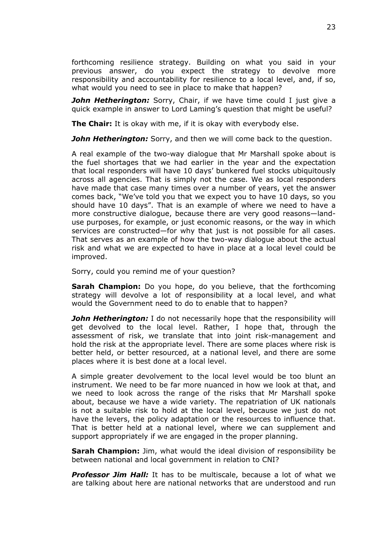forthcoming resilience strategy. Building on what you said in your previous answer, do you expect the strategy to devolve more responsibility and accountability for resilience to a local level, and, if so, what would you need to see in place to make that happen?

**John Hetherington:** Sorry, Chair, if we have time could I just give a quick example in answer to Lord Laming's question that might be useful?

**The Chair:** It is okay with me, if it is okay with everybody else.

**John Hetherington:** Sorry, and then we will come back to the question.

A real example of the two-way dialogue that Mr Marshall spoke about is the fuel shortages that we had earlier in the year and the expectation that local responders will have 10 days' bunkered fuel stocks ubiquitously across all agencies. That is simply not the case. We as local responders have made that case many times over a number of years, yet the answer comes back, "We've told you that we expect you to have 10 days, so you should have 10 days". That is an example of where we need to have a more constructive dialogue, because there are very good reasons—landuse purposes, for example, or just economic reasons, or the way in which services are constructed—for why that just is not possible for all cases. That serves as an example of how the two-way dialogue about the actual risk and what we are expected to have in place at a local level could be improved.

Sorry, could you remind me of your question?

**Sarah Champion:** Do you hope, do you believe, that the forthcoming strategy will devolve a lot of responsibility at a local level, and what would the Government need to do to enable that to happen?

**John Hetherington:** I do not necessarily hope that the responsibility will get devolved to the local level. Rather, I hope that, through the assessment of risk, we translate that into joint risk-management and hold the risk at the appropriate level. There are some places where risk is better held, or better resourced, at a national level, and there are some places where it is best done at a local level.

A simple greater devolvement to the local level would be too blunt an instrument. We need to be far more nuanced in how we look at that, and we need to look across the range of the risks that Mr Marshall spoke about, because we have a wide variety. The repatriation of UK nationals is not a suitable risk to hold at the local level, because we just do not have the levers, the policy adaptation or the resources to influence that. That is better held at a national level, where we can supplement and support appropriately if we are engaged in the proper planning.

**Sarah Champion:** Jim, what would the ideal division of responsibility be between national and local government in relation to CNI?

*Professor Jim Hall:* It has to be multiscale, because a lot of what we are talking about here are national networks that are understood and run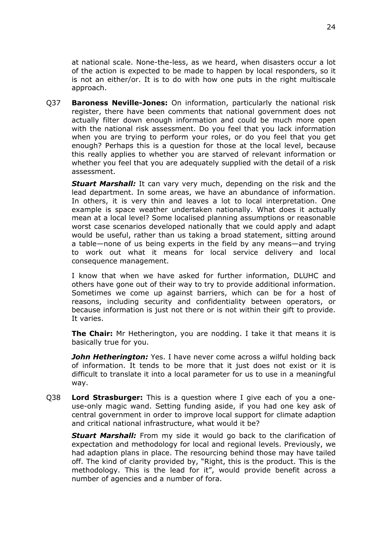at national scale. None-the-less, as we heard, when disasters occur a lot of the action is expected to be made to happen by local responders, so it is not an either/or. It is to do with how one puts in the right multiscale approach.

Q37 **Baroness Neville-Jones:** On information, particularly the national risk register, there have been comments that national government does not actually filter down enough information and could be much more open with the national risk assessment. Do you feel that you lack information when you are trying to perform your roles, or do you feel that you get enough? Perhaps this is a question for those at the local level, because this really applies to whether you are starved of relevant information or whether you feel that you are adequately supplied with the detail of a risk assessment.

*Stuart Marshall:* It can vary very much, depending on the risk and the lead department. In some areas, we have an abundance of information. In others, it is very thin and leaves a lot to local interpretation. One example is space weather undertaken nationally. What does it actually mean at a local level? Some localised planning assumptions or reasonable worst case scenarios developed nationally that we could apply and adapt would be useful, rather than us taking a broad statement, sitting around a table—none of us being experts in the field by any means—and trying to work out what it means for local service delivery and local consequence management.

I know that when we have asked for further information, DLUHC and others have gone out of their way to try to provide additional information. Sometimes we come up against barriers, which can be for a host of reasons, including security and confidentiality between operators, or because information is just not there or is not within their gift to provide. It varies.

**The Chair:** Mr Hetherington, you are nodding. I take it that means it is basically true for you.

*John Hetherington:* Yes. I have never come across a wilful holding back of information. It tends to be more that it just does not exist or it is difficult to translate it into a local parameter for us to use in a meaningful way.

Q38 **Lord Strasburger:** This is a question where I give each of you a oneuse-only magic wand. Setting funding aside, if you had one key ask of central government in order to improve local support for climate adaption and critical national infrastructure, what would it be?

*Stuart Marshall:* From my side it would go back to the clarification of expectation and methodology for local and regional levels. Previously, we had adaption plans in place. The resourcing behind those may have tailed off. The kind of clarity provided by, "Right, this is the product. This is the methodology. This is the lead for it", would provide benefit across a number of agencies and a number of fora.